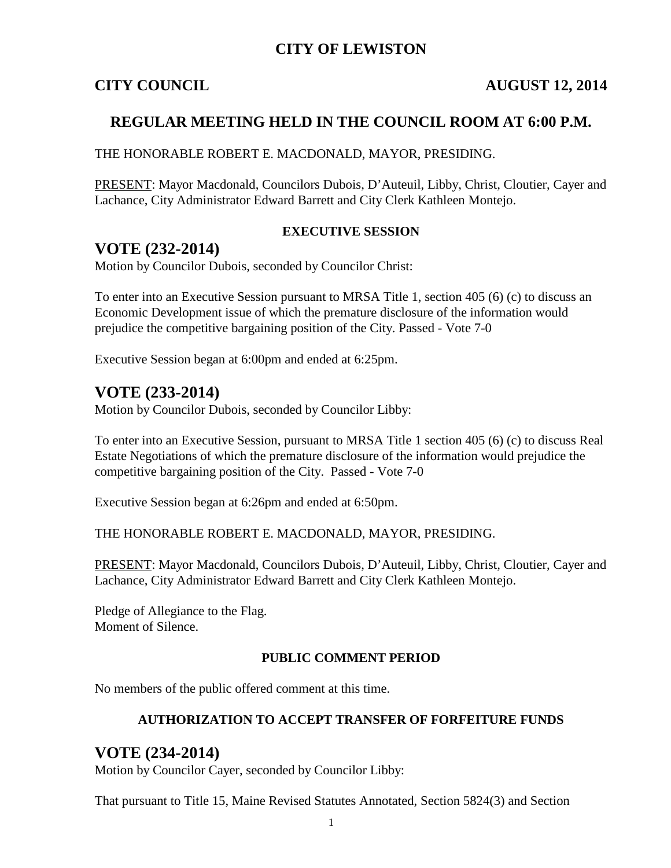## **CITY OF LEWISTON**

## **CITY COUNCIL AUGUST 12, 2014**

## **REGULAR MEETING HELD IN THE COUNCIL ROOM AT 6:00 P.M.**

THE HONORABLE ROBERT E. MACDONALD, MAYOR, PRESIDING.

PRESENT: Mayor Macdonald, Councilors Dubois, D'Auteuil, Libby, Christ, Cloutier, Cayer and Lachance, City Administrator Edward Barrett and City Clerk Kathleen Montejo.

#### **EXECUTIVE SESSION**

## **VOTE (232-2014)**

Motion by Councilor Dubois, seconded by Councilor Christ:

To enter into an Executive Session pursuant to MRSA Title 1, section 405 (6) (c) to discuss an Economic Development issue of which the premature disclosure of the information would prejudice the competitive bargaining position of the City. Passed - Vote 7-0

Executive Session began at 6:00pm and ended at 6:25pm.

## **VOTE (233-2014)**

Motion by Councilor Dubois, seconded by Councilor Libby:

To enter into an Executive Session, pursuant to MRSA Title 1 section 405 (6) (c) to discuss Real Estate Negotiations of which the premature disclosure of the information would prejudice the competitive bargaining position of the City. Passed - Vote 7-0

Executive Session began at 6:26pm and ended at 6:50pm.

THE HONORABLE ROBERT E. MACDONALD, MAYOR, PRESIDING.

PRESENT: Mayor Macdonald, Councilors Dubois, D'Auteuil, Libby, Christ, Cloutier, Cayer and Lachance, City Administrator Edward Barrett and City Clerk Kathleen Montejo.

Pledge of Allegiance to the Flag. Moment of Silence.

#### **PUBLIC COMMENT PERIOD**

No members of the public offered comment at this time.

#### **AUTHORIZATION TO ACCEPT TRANSFER OF FORFEITURE FUNDS**

## **VOTE (234-2014)**

Motion by Councilor Cayer, seconded by Councilor Libby:

That pursuant to Title 15, Maine Revised Statutes Annotated, Section 5824(3) and Section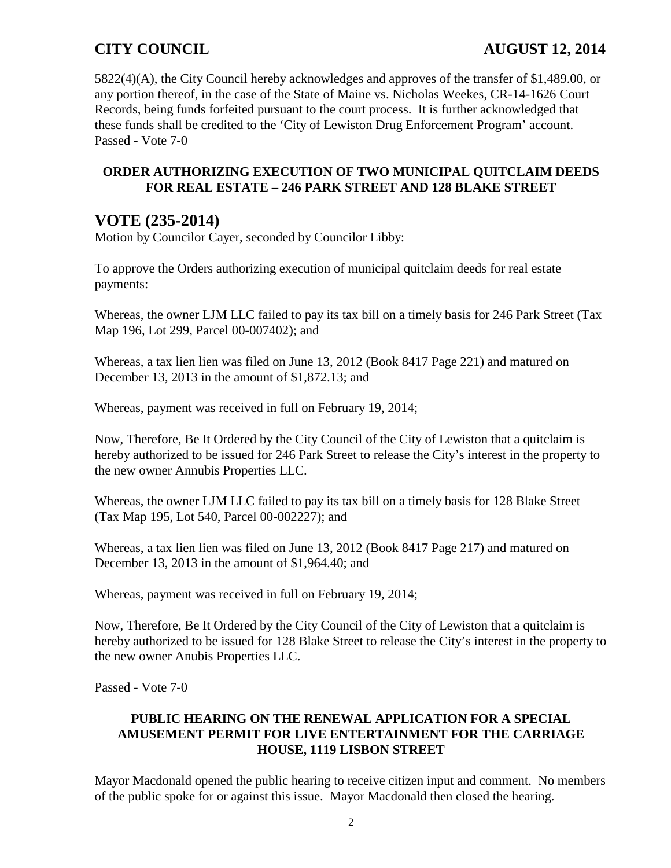5822(4)(A), the City Council hereby acknowledges and approves of the transfer of \$1,489.00, or any portion thereof, in the case of the State of Maine vs. Nicholas Weekes, CR-14-1626 Court Records, being funds forfeited pursuant to the court process. It is further acknowledged that these funds shall be credited to the 'City of Lewiston Drug Enforcement Program' account. Passed - Vote 7-0

## **ORDER AUTHORIZING EXECUTION OF TWO MUNICIPAL QUITCLAIM DEEDS FOR REAL ESTATE – 246 PARK STREET AND 128 BLAKE STREET**

## **VOTE (235-2014)**

Motion by Councilor Cayer, seconded by Councilor Libby:

To approve the Orders authorizing execution of municipal quitclaim deeds for real estate payments:

Whereas, the owner LJM LLC failed to pay its tax bill on a timely basis for 246 Park Street (Tax Map 196, Lot 299, Parcel 00-007402); and

Whereas, a tax lien lien was filed on June 13, 2012 (Book 8417 Page 221) and matured on December 13, 2013 in the amount of \$1,872.13; and

Whereas, payment was received in full on February 19, 2014;

Now, Therefore, Be It Ordered by the City Council of the City of Lewiston that a quitclaim is hereby authorized to be issued for 246 Park Street to release the City's interest in the property to the new owner Annubis Properties LLC.

Whereas, the owner LJM LLC failed to pay its tax bill on a timely basis for 128 Blake Street (Tax Map 195, Lot 540, Parcel 00-002227); and

Whereas, a tax lien lien was filed on June 13, 2012 (Book 8417 Page 217) and matured on December 13, 2013 in the amount of \$1,964.40; and

Whereas, payment was received in full on February 19, 2014;

Now, Therefore, Be It Ordered by the City Council of the City of Lewiston that a quitclaim is hereby authorized to be issued for 128 Blake Street to release the City's interest in the property to the new owner Anubis Properties LLC.

Passed - Vote 7-0

### **PUBLIC HEARING ON THE RENEWAL APPLICATION FOR A SPECIAL AMUSEMENT PERMIT FOR LIVE ENTERTAINMENT FOR THE CARRIAGE HOUSE, 1119 LISBON STREET**

Mayor Macdonald opened the public hearing to receive citizen input and comment. No members of the public spoke for or against this issue. Mayor Macdonald then closed the hearing.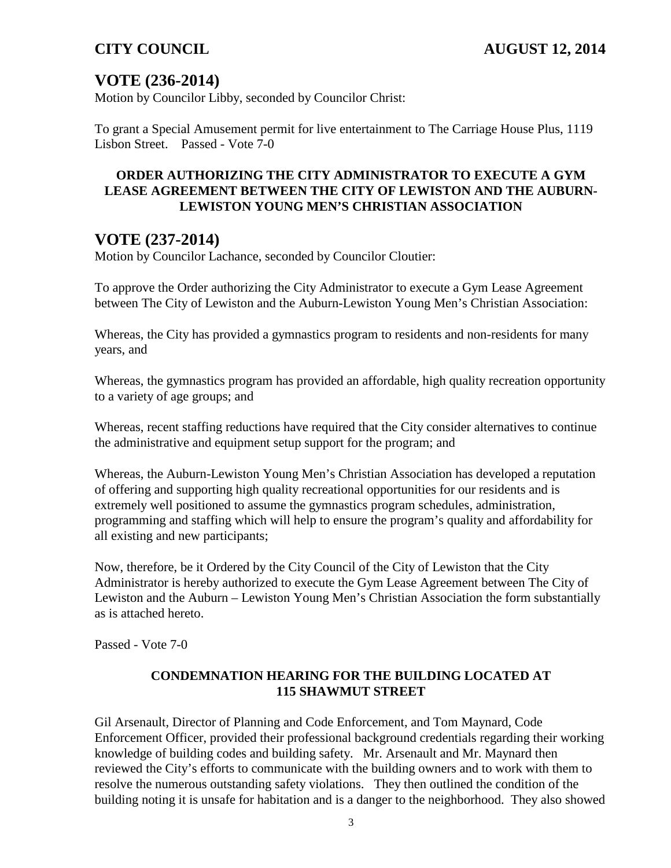# **VOTE (236-2014)**

Motion by Councilor Libby, seconded by Councilor Christ:

To grant a Special Amusement permit for live entertainment to The Carriage House Plus, 1119 Lisbon Street. Passed - Vote 7-0

## **ORDER AUTHORIZING THE CITY ADMINISTRATOR TO EXECUTE A GYM LEASE AGREEMENT BETWEEN THE CITY OF LEWISTON AND THE AUBURN-LEWISTON YOUNG MEN'S CHRISTIAN ASSOCIATION**

## **VOTE (237-2014)**

Motion by Councilor Lachance, seconded by Councilor Cloutier:

To approve the Order authorizing the City Administrator to execute a Gym Lease Agreement between The City of Lewiston and the Auburn-Lewiston Young Men's Christian Association:

Whereas, the City has provided a gymnastics program to residents and non-residents for many years, and

Whereas, the gymnastics program has provided an affordable, high quality recreation opportunity to a variety of age groups; and

Whereas, recent staffing reductions have required that the City consider alternatives to continue the administrative and equipment setup support for the program; and

Whereas, the Auburn-Lewiston Young Men's Christian Association has developed a reputation of offering and supporting high quality recreational opportunities for our residents and is extremely well positioned to assume the gymnastics program schedules, administration, programming and staffing which will help to ensure the program's quality and affordability for all existing and new participants;

Now, therefore, be it Ordered by the City Council of the City of Lewiston that the City Administrator is hereby authorized to execute the Gym Lease Agreement between The City of Lewiston and the Auburn – Lewiston Young Men's Christian Association the form substantially as is attached hereto.

Passed - Vote 7-0

### **CONDEMNATION HEARING FOR THE BUILDING LOCATED AT 115 SHAWMUT STREET**

Gil Arsenault, Director of Planning and Code Enforcement, and Tom Maynard, Code Enforcement Officer, provided their professional background credentials regarding their working knowledge of building codes and building safety. Mr. Arsenault and Mr. Maynard then reviewed the City's efforts to communicate with the building owners and to work with them to resolve the numerous outstanding safety violations. They then outlined the condition of the building noting it is unsafe for habitation and is a danger to the neighborhood. They also showed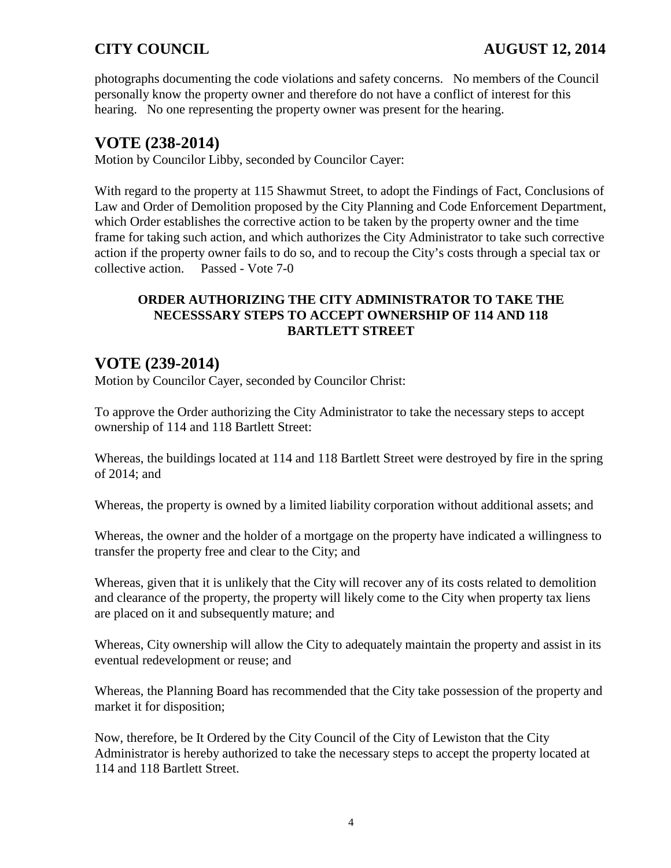photographs documenting the code violations and safety concerns. No members of the Council personally know the property owner and therefore do not have a conflict of interest for this hearing. No one representing the property owner was present for the hearing.

## **VOTE (238-2014)**

Motion by Councilor Libby, seconded by Councilor Cayer:

With regard to the property at 115 Shawmut Street, to adopt the Findings of Fact, Conclusions of Law and Order of Demolition proposed by the City Planning and Code Enforcement Department, which Order establishes the corrective action to be taken by the property owner and the time frame for taking such action, and which authorizes the City Administrator to take such corrective action if the property owner fails to do so, and to recoup the City's costs through a special tax or collective action. Passed - Vote 7-0

## **ORDER AUTHORIZING THE CITY ADMINISTRATOR TO TAKE THE NECESSSARY STEPS TO ACCEPT OWNERSHIP OF 114 AND 118 BARTLETT STREET**

# **VOTE (239-2014)**

Motion by Councilor Cayer, seconded by Councilor Christ:

To approve the Order authorizing the City Administrator to take the necessary steps to accept ownership of 114 and 118 Bartlett Street:

Whereas, the buildings located at 114 and 118 Bartlett Street were destroyed by fire in the spring of 2014; and

Whereas, the property is owned by a limited liability corporation without additional assets; and

Whereas, the owner and the holder of a mortgage on the property have indicated a willingness to transfer the property free and clear to the City; and

Whereas, given that it is unlikely that the City will recover any of its costs related to demolition and clearance of the property, the property will likely come to the City when property tax liens are placed on it and subsequently mature; and

Whereas, City ownership will allow the City to adequately maintain the property and assist in its eventual redevelopment or reuse; and

Whereas, the Planning Board has recommended that the City take possession of the property and market it for disposition;

Now, therefore, be It Ordered by the City Council of the City of Lewiston that the City Administrator is hereby authorized to take the necessary steps to accept the property located at 114 and 118 Bartlett Street.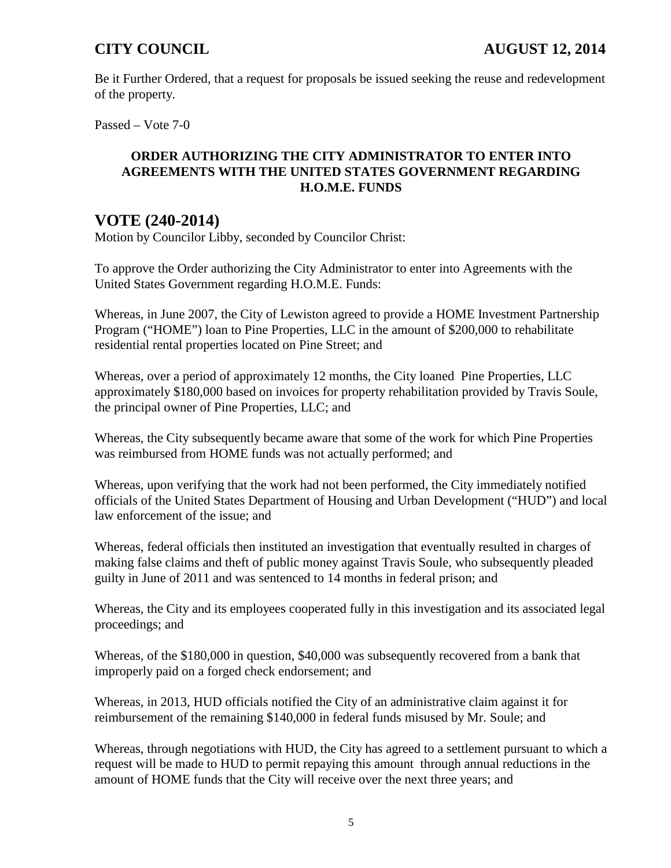Be it Further Ordered, that a request for proposals be issued seeking the reuse and redevelopment of the property.

Passed – Vote 7-0

### **ORDER AUTHORIZING THE CITY ADMINISTRATOR TO ENTER INTO AGREEMENTS WITH THE UNITED STATES GOVERNMENT REGARDING H.O.M.E. FUNDS**

## **VOTE (240-2014)**

Motion by Councilor Libby, seconded by Councilor Christ:

To approve the Order authorizing the City Administrator to enter into Agreements with the United States Government regarding H.O.M.E. Funds:

Whereas, in June 2007, the City of Lewiston agreed to provide a HOME Investment Partnership Program ("HOME") loan to Pine Properties, LLC in the amount of \$200,000 to rehabilitate residential rental properties located on Pine Street; and

Whereas, over a period of approximately 12 months, the City loaned Pine Properties, LLC approximately \$180,000 based on invoices for property rehabilitation provided by Travis Soule, the principal owner of Pine Properties, LLC; and

Whereas, the City subsequently became aware that some of the work for which Pine Properties was reimbursed from HOME funds was not actually performed; and

Whereas, upon verifying that the work had not been performed, the City immediately notified officials of the United States Department of Housing and Urban Development ("HUD") and local law enforcement of the issue; and

Whereas, federal officials then instituted an investigation that eventually resulted in charges of making false claims and theft of public money against Travis Soule, who subsequently pleaded guilty in June of 2011 and was sentenced to 14 months in federal prison; and

Whereas, the City and its employees cooperated fully in this investigation and its associated legal proceedings; and

Whereas, of the \$180,000 in question, \$40,000 was subsequently recovered from a bank that improperly paid on a forged check endorsement; and

Whereas, in 2013, HUD officials notified the City of an administrative claim against it for reimbursement of the remaining \$140,000 in federal funds misused by Mr. Soule; and

Whereas, through negotiations with HUD, the City has agreed to a settlement pursuant to which a request will be made to HUD to permit repaying this amount through annual reductions in the amount of HOME funds that the City will receive over the next three years; and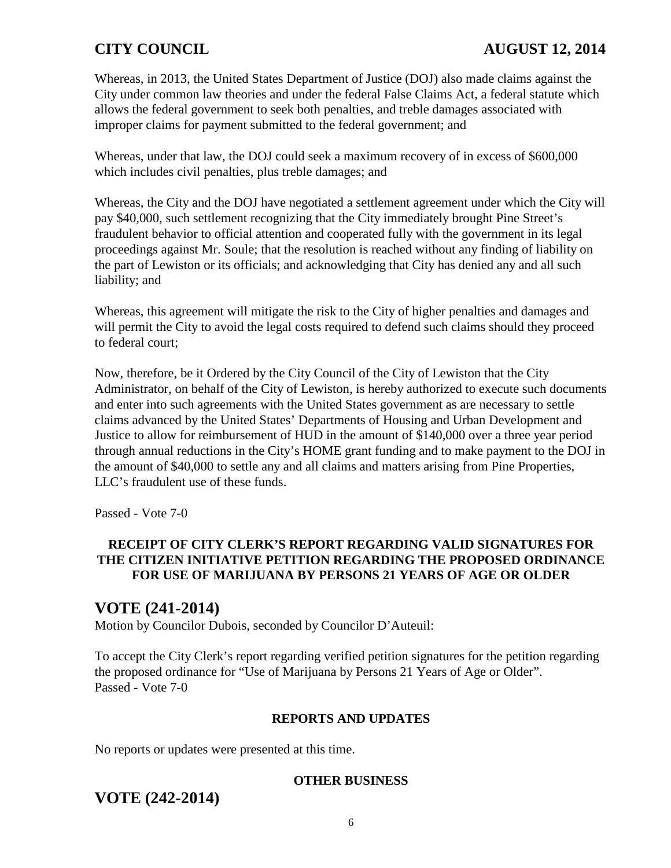Whereas, in 2013, the United States Department of Justice (DOJ) also made claims against the City under common law theories and under the federal False Claims Act, a federal statute which allows the federal government to seek both penalties, and treble damages associated with improper claims for payment submitted to the federal government; and

Whereas, under that law, the DOJ could seek a maximum recovery of in excess of \$600,000 which includes civil penalties, plus treble damages; and

Whereas, the City and the DOJ have negotiated a settlement agreement under which the City will pay \$40,000, such settlement recognizing that the City immediately brought Pine Street's fraudulent behavior to official attention and cooperated fully with the government in its legal proceedings against Mr. Soule; that the resolution is reached without any finding of liability on the part of Lewiston or its officials; and acknowledging that City has denied any and all such liability; and

Whereas, this agreement will mitigate the risk to the City of higher penalties and damages and will permit the City to avoid the legal costs required to defend such claims should they proceed to federal court;

Now, therefore, be it Ordered by the City Council of the City of Lewiston that the City Administrator, on behalf of the City of Lewiston, is hereby authorized to execute such documents and enter into such agreements with the United States government as are necessary to settle claims advanced by the United States' Departments of Housing and Urban Development and Justice to allow for reimbursement of HUD in the amount of \$140,000 over a three year period through annual reductions in the City's HOME grant funding and to make payment to the DOJ in the amount of \$40,000 to settle any and all claims and matters arising from Pine Properties, LLC's fraudulent use of these funds.

Passed - Vote 7-0

## **RECEIPT OF CITY CLERK'S REPORT REGARDING VALID SIGNATURES FOR THE CITIZEN INITIATIVE PETITION REGARDING THE PROPOSED ORDINANCE FOR USE OF MARIJUANA BY PERSONS 21 YEARS OF AGE OR OLDER**

## **VOTE (241-2014)**

Motion by Councilor Dubois, seconded by Councilor D'Auteuil:

To accept the City Clerk's report regarding verified petition signatures for the petition regarding the proposed ordinance for "Use of Marijuana by Persons 21 Years of Age or Older". Passed - Vote 7-0

### **REPORTS AND UPDATES**

No reports or updates were presented at this time.

#### **OTHER BUSINESS**

## **VOTE (242-2014)**